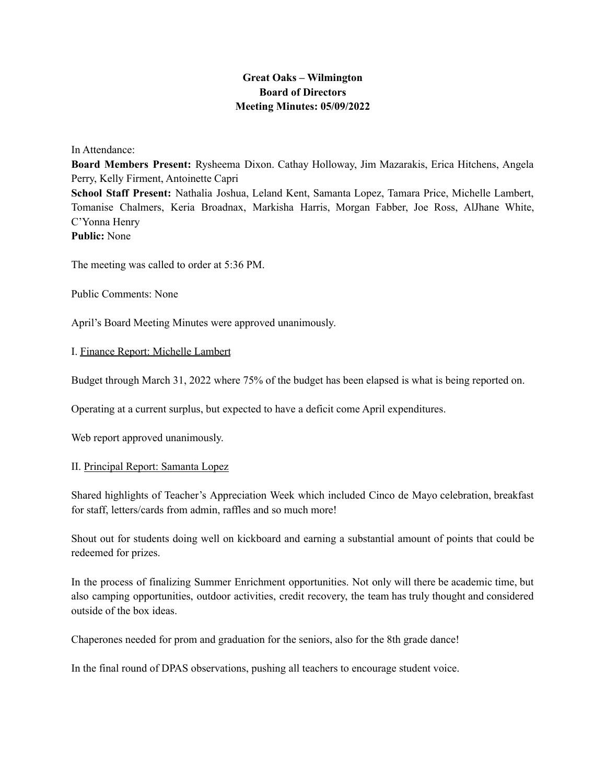## **Great Oaks – Wilmington Board of Directors Meeting Minutes: 05/09/2022**

In Attendance:

**Board Members Present:** Rysheema Dixon. Cathay Holloway, Jim Mazarakis, Erica Hitchens, Angela Perry, Kelly Firment, Antoinette Capri **School Staff Present:** Nathalia Joshua, Leland Kent, Samanta Lopez, Tamara Price, Michelle Lambert, Tomanise Chalmers, Keria Broadnax, Markisha Harris, Morgan Fabber, Joe Ross, AlJhane White, C'Yonna Henry **Public:** None

The meeting was called to order at 5:36 PM.

Public Comments: None

April's Board Meeting Minutes were approved unanimously.

## I. Finance Report: Michelle Lambert

Budget through March 31, 2022 where 75% of the budget has been elapsed is what is being reported on.

Operating at a current surplus, but expected to have a deficit come April expenditures.

Web report approved unanimously.

## II. Principal Report: Samanta Lopez

Shared highlights of Teacher's Appreciation Week which included Cinco de Mayo celebration, breakfast for staff, letters/cards from admin, raffles and so much more!

Shout out for students doing well on kickboard and earning a substantial amount of points that could be redeemed for prizes.

In the process of finalizing Summer Enrichment opportunities. Not only will there be academic time, but also camping opportunities, outdoor activities, credit recovery, the team has truly thought and considered outside of the box ideas.

Chaperones needed for prom and graduation for the seniors, also for the 8th grade dance!

In the final round of DPAS observations, pushing all teachers to encourage student voice.